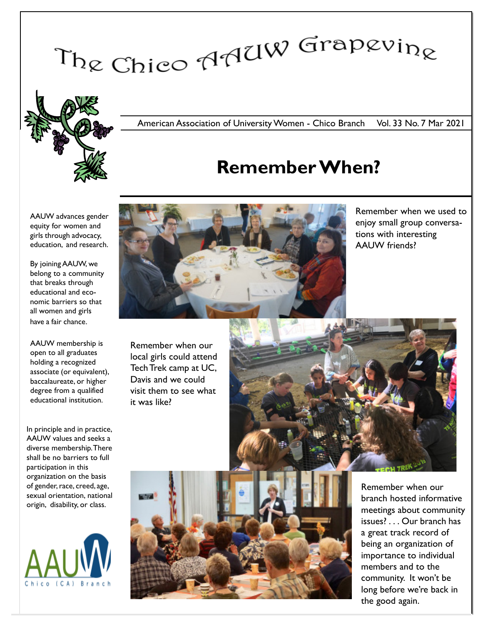# The Chico AAUW Grapevine



### American Association of University Women - Chico Branch Vol. 33 No. 7 Mar 2021

# Remember When?

AAUW advances gender equity for women and girls through advocacy, education, and research.

By joining AAUW, we belong to a community that breaks through educational and economic barriers so that all women and girls have a fair chance.

AAUW membership is open to all graduates holding a recognized associate (or equivalent), baccalaureate, or higher degree from a qualified educational institution.

In principle and in practice, AAUW values and seeks a diverse membership. There shall be no barriers to full participation in this organization on the basis of gender, race, creed, age, sexual orientation, national origin, disability, or class.





Remember when we used to enjoy small group conversations with interesting AAUW friends?

Remember when our local girls could attend Tech Trek camp at UC, Davis and we could visit them to see what it was like?





Remember when our branch hosted informative meetings about community issues? . . . Our branch has a great track record of being an organization of importance to individual members and to the community. It won't be long before we're back in the good again.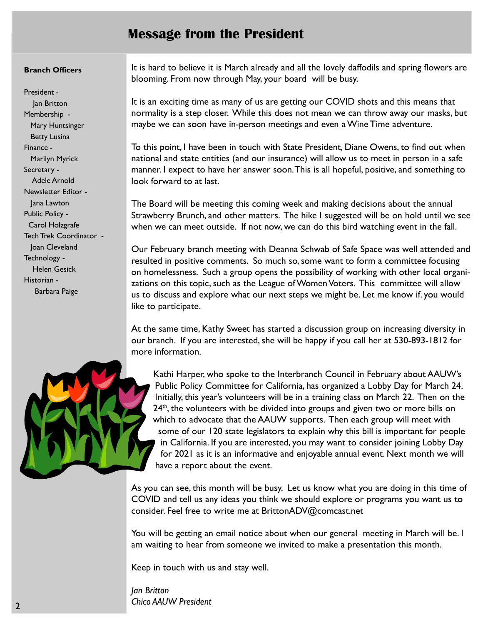## Message from the President

#### Branch Officers

President - Jan Britton Membership - Mary Huntsinger Betty Lusina Finance - Marilyn Myrick Secretary - Adele Arnold Newsletter Editor - Jana Lawton Public Policy - Carol Holzgrafe Tech Trek Coordinator - Joan Cleveland Technology - Helen Gesick Historian - Barbara Paige

It is hard to believe it is March already and all the lovely daffodils and spring flowers are blooming. From now through May, your board will be busy.

It is an exciting time as many of us are getting our COVID shots and this means that normality is a step closer. While this does not mean we can throw away our masks, but maybe we can soon have in-person meetings and even a Wine Time adventure.

To this point, I have been in touch with State President, Diane Owens, to find out when national and state entities (and our insurance) will allow us to meet in person in a safe manner. I expect to have her answer soon.This is all hopeful, positive, and something to look forward to at last.

The Board will be meeting this coming week and making decisions about the annual Strawberry Brunch, and other matters. The hike I suggested will be on hold until we see when we can meet outside. If not now, we can do this bird watching event in the fall.

Our February branch meeting with Deanna Schwab of Safe Space was well attended and resulted in positive comments. So much so, some want to form a committee focusing on homelessness. Such a group opens the possibility of working with other local organizations on this topic, such as the League of Women Voters. This committee will allow us to discuss and explore what our next steps we might be. Let me know if. you would like to participate.

At the same time, Kathy Sweet has started a discussion group on increasing diversity in our branch. If you are interested, she will be happy if you call her at 530-893-1812 for more information.

Kathi Harper, who spoke to the Interbranch Council in February about AAUW's Public Policy Committee for California, has organized a Lobby Day for March 24. Initially, this year's volunteers will be in a training class on March 22. Then on the  $24<sup>th</sup>$ , the volunteers with be divided into groups and given two or more bills on which to advocate that the AAUW supports. Then each group will meet with some of our 120 state legislators to explain why this bill is important for people in California. If you are interested, you may want to consider joining Lobby Day for 2021 as it is an informative and enjoyable annual event. Next month we will have a report about the event.

As you can see, this month will be busy. Let us know what you are doing in this time of COVID and tell us any ideas you think we should explore or programs you want us to consider. Feel free to write me at BrittonADV@comcast.net

You will be getting an email notice about when our general meeting in March will be. I am waiting to hear from someone we invited to make a presentation this month.

Keep in touch with us and stay well.

Jan Britton Chico AAUW President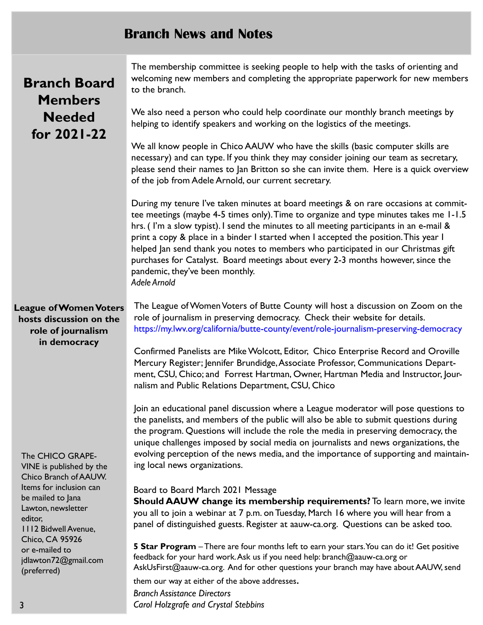## Branch News and Notes

|  | <b>Branch Board</b><br><b>Members</b>                                                                                                                                                                                                                                                                                                                               | The membership committee is seeking people to help with the tasks of orienting and<br>welcoming new members and completing the appropriate paperwork for new members<br>to the branch.                                                                                                                                                                                                                                                                                                                                                                                                       |
|--|---------------------------------------------------------------------------------------------------------------------------------------------------------------------------------------------------------------------------------------------------------------------------------------------------------------------------------------------------------------------|----------------------------------------------------------------------------------------------------------------------------------------------------------------------------------------------------------------------------------------------------------------------------------------------------------------------------------------------------------------------------------------------------------------------------------------------------------------------------------------------------------------------------------------------------------------------------------------------|
|  | <b>Needed</b><br>for 2021-22                                                                                                                                                                                                                                                                                                                                        | We also need a person who could help coordinate our monthly branch meetings by<br>helping to identify speakers and working on the logistics of the meetings.                                                                                                                                                                                                                                                                                                                                                                                                                                 |
|  |                                                                                                                                                                                                                                                                                                                                                                     | We all know people in Chico AAUW who have the skills (basic computer skills are<br>necessary) and can type. If you think they may consider joining our team as secretary,<br>please send their names to Jan Britton so she can invite them. Here is a quick overview<br>of the job from Adele Arnold, our current secretary.                                                                                                                                                                                                                                                                 |
|  |                                                                                                                                                                                                                                                                                                                                                                     | During my tenure I've taken minutes at board meetings & on rare occasions at commit-<br>tee meetings (maybe 4-5 times only). Time to organize and type minutes takes me 1-1.5<br>hrs. (I'm a slow typist). I send the minutes to all meeting participants in an e-mail &<br>print a copy & place in a binder I started when I accepted the position. This year I<br>helped Jan send thank you notes to members who participated in our Christmas gift<br>purchases for Catalyst. Board meetings about every 2-3 months however, since the<br>pandemic, they've been monthly.<br>Adele Arnold |
|  | <b>League of Women Voters</b><br>hosts discussion on the<br>role of journalism<br>in democracy<br>The CHICO GRAPE-<br>VINE is published by the<br>Chico Branch of AAUW.<br>Items for inclusion can<br>be mailed to Jana<br>Lawton, newsletter<br>editor,<br><b>1112 Bidwell Avenue,</b><br>Chico, CA 95926<br>or e-mailed to<br>jdlawton72@gmail.com<br>(preferred) | The League of Women Voters of Butte County will host a discussion on Zoom on the<br>role of journalism in preserving democracy. Check their website for details.<br>https://my.lwv.org/california/butte-county/event/role-journalism-preserving-democracy                                                                                                                                                                                                                                                                                                                                    |
|  |                                                                                                                                                                                                                                                                                                                                                                     | Confirmed Panelists are Mike Wolcott, Editor, Chico Enterprise Record and Oroville<br>Mercury Register; Jennifer Brundidge, Associate Professor, Communications Depart-<br>ment, CSU, Chico; and Forrest Hartman, Owner, Hartman Media and Instructor, Jour-<br>nalism and Public Relations Department, CSU, Chico                                                                                                                                                                                                                                                                           |
|  |                                                                                                                                                                                                                                                                                                                                                                     | Join an educational panel discussion where a League moderator will pose questions to<br>the panelists, and members of the public will also be able to submit questions during<br>the program. Questions will include the role the media in preserving democracy, the<br>unique challenges imposed by social media on journalists and news organizations, the<br>evolving perception of the news media, and the importance of supporting and maintain-<br>ing local news organizations.                                                                                                       |
|  |                                                                                                                                                                                                                                                                                                                                                                     | Board to Board March 2021 Message<br>Should AAUW change its membership requirements? To learn more, we invite<br>you all to join a webinar at 7 p.m. on Tuesday, March 16 where you will hear from a<br>panel of distinguished guests. Register at aauw-ca.org. Questions can be asked too.                                                                                                                                                                                                                                                                                                  |
|  |                                                                                                                                                                                                                                                                                                                                                                     | 5 Star Program - There are four months left to earn your stars. You can do it! Get positive<br>feedback for your hard work. Ask us if you need help: branch@aauw-ca.org or<br>AskUsFirst@aauw-ca.org. And for other questions your branch may have about AAUW, send                                                                                                                                                                                                                                                                                                                          |
|  |                                                                                                                                                                                                                                                                                                                                                                     | them our way at either of the above addresses.                                                                                                                                                                                                                                                                                                                                                                                                                                                                                                                                               |

Branch Assistance Directors Carol Holzgrafe and Crystal Stebbins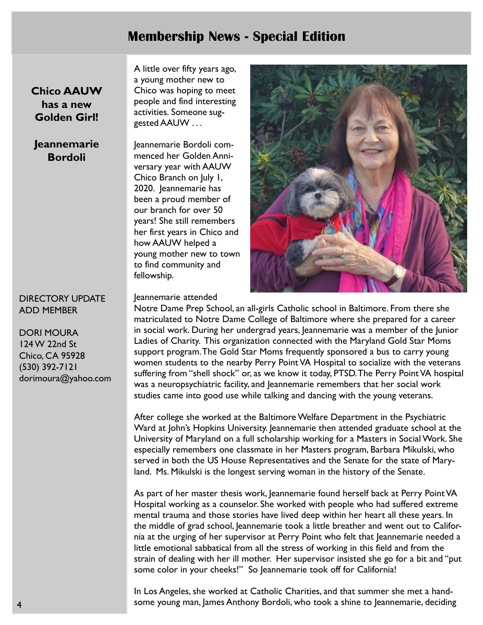## Membership News - Special Edition

Chico AAUW has a new Golden Girl!

## Jeannemarie Bordoli

### DIRECTORY UPDATE ADD MEMBER

DORI MOURA 124 W 22nd St Chico, CA 95928 (530) 392-7121 dorimoura@yahoo.com A little over fifty years ago, a young mother new to Chico was hoping to meet people and find interesting activities. Someone suggested AAUW . . .

Jeannemarie Bordoli commenced her Golden Anniversary year with AAUW Chico Branch on July 1, 2020. Jeannemarie has been a proud member of our branch for over 50 years! She still remembers her first years in Chico and how AAUW helped a young mother new to town to find community and fellowship.



Jeannemarie attended

Notre Dame Prep School, an all-girls Catholic school in Baltimore. From there she matriculated to Notre Dame College of Baltimore where she prepared for a career in social work. During her undergrad years, Jeannemarie was a member of the Junior Ladies of Charity. This organization connected with the Maryland Gold Star Moms support program.The Gold Star Moms frequently sponsored a bus to carry young women students to the nearby Perry Point VA Hospital to socialize with the veterans suffering from "shell shock" or, as we know it today, PTSD. The Perry Point VA hospital was a neuropsychiatric facility, and Jeannemarie remembers that her social work studies came into good use while talking and dancing with the young veterans.

After college she worked at the Baltimore Welfare Department in the Psychiatric Ward at John's Hopkins University. Jeannemarie then attended graduate school at the University of Maryland on a full scholarship working for a Masters in Social Work. She especially remembers one classmate in her Masters program, Barbara Mikulski, who served in both the US House Representatives and the Senate for the state of Maryland. Ms. Mikulski is the longest serving woman in the history of the Senate.

As part of her master thesis work, Jeannemarie found herself back at Perry Point VA Hospital working as a counselor. She worked with people who had suffered extreme mental trauma and those stories have lived deep within her heart all these years. In the middle of grad school, Jeannemarie took a little breather and went out to California at the urging of her supervisor at Perry Point who felt that Jeannemarie needed a little emotional sabbatical from all the stress of working in this field and from the strain of dealing with her ill mother. Her supervisor insisted she go for a bit and "put some color in your cheeks!" So Jeannemarie took off for California!

In Los Angeles, she worked at Catholic Charities, and that summer she met a handsome young man, James Anthony Bordoli, who took a shine to Jeannemarie, deciding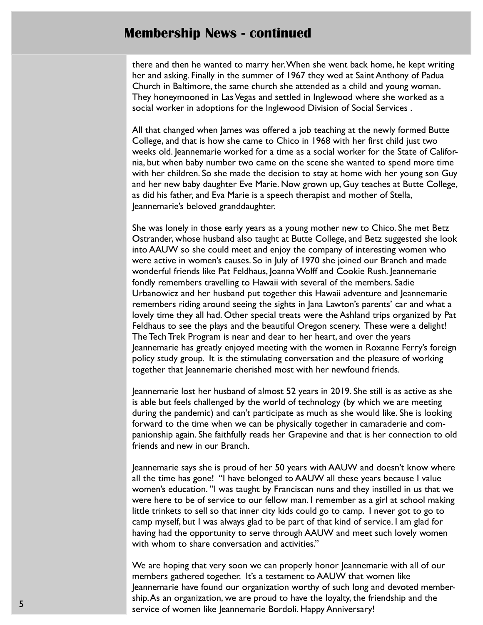## Membership News - continued

there and then he wanted to marry her. When she went back home, he kept writing her and asking. Finally in the summer of 1967 they wed at Saint Anthony of Padua Church in Baltimore, the same church she attended as a child and young woman. They honeymooned in Las Vegas and settled in Inglewood where she worked as a social worker in adoptions for the Inglewood Division of Social Services .

All that changed when James was offered a job teaching at the newly formed Butte College, and that is how she came to Chico in 1968 with her first child just two weeks old. Jeannemarie worked for a time as a social worker for the State of California, but when baby number two came on the scene she wanted to spend more time with her children. So she made the decision to stay at home with her young son Guy and her new baby daughter Eve Marie. Now grown up, Guy teaches at Butte College, as did his father, and Eva Marie is a speech therapist and mother of Stella, Jeannemarie's beloved granddaughter.

She was lonely in those early years as a young mother new to Chico. She met Betz Ostrander, whose husband also taught at Butte College, and Betz suggested she look into AAUW so she could meet and enjoy the company of interesting women who were active in women's causes. So in July of 1970 she joined our Branch and made wonderful friends like Pat Feldhaus, Joanna Wolff and Cookie Rush. Jeannemarie fondly remembers travelling to Hawaii with several of the members. Sadie Urbanowicz and her husband put together this Hawaii adventure and Jeannemarie remembers riding around seeing the sights in Jana Lawton's parents' car and what a lovely time they all had. Other special treats were the Ashland trips organized by Pat Feldhaus to see the plays and the beautiful Oregon scenery. These were a delight! The Tech Trek Program is near and dear to her heart, and over the years Jeannemarie has greatly enjoyed meeting with the women in Roxanne Ferry's foreign policy study group. It is the stimulating conversation and the pleasure of working together that Jeannemarie cherished most with her newfound friends.

Jeannemarie lost her husband of almost 52 years in 2019. She still is as active as she is able but feels challenged by the world of technology (by which we are meeting during the pandemic) and can't participate as much as she would like. She is looking forward to the time when we can be physically together in camaraderie and companionship again. She faithfully reads her Grapevine and that is her connection to old friends and new in our Branch.

Jeannemarie says she is proud of her 50 years with AAUW and doesn't know where all the time has gone! "I have belonged to AAUW all these years because I value women's education. "I was taught by Franciscan nuns and they instilled in us that we were here to be of service to our fellow man. I remember as a girl at school making little trinkets to sell so that inner city kids could go to camp. I never got to go to camp myself, but I was always glad to be part of that kind of service. I am glad for having had the opportunity to serve through AAUW and meet such lovely women with whom to share conversation and activities."

We are hoping that very soon we can properly honor Jeannemarie with all of our members gathered together. It's a testament to AAUW that women like Jeannemarie have found our organization worthy of such long and devoted membership. As an organization, we are proud to have the loyalty, the friendship and the service of women like Jeannemarie Bordoli. Happy Anniversary!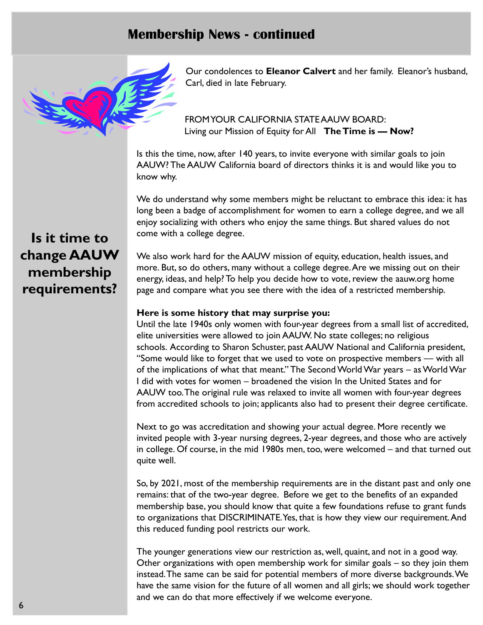## Membership News - continued



Our condolences to Eleanor Calvert and her family. Eleanor's husband, Carl, died in late February.

FROM YOUR CALIFORNIA STATE AAUW BOARD: Living our Mission of Equity for All The Time is - Now?

Is this the time, now, after 140 years, to invite everyone with similar goals to join AAUW? The AAUW California board of directors thinks it is and would like you to know why.

We do understand why some members might be reluctant to embrace this idea: it has long been a badge of accomplishment for women to earn a college degree, and we all enjoy socializing with others who enjoy the same things. But shared values do not come with a college degree.

We also work hard for the AAUW mission of equity, education, health issues, and more. But, so do others, many without a college degree. Are we missing out on their energy, ideas, and help? To help you decide how to vote, review the aauw.org home page and compare what you see there with the idea of a restricted membership.

#### Here is some history that may surprise you:

Until the late 1940s only women with four-year degrees from a small list of accredited, elite universities were allowed to join AAUW. No state colleges; no religious schools. According to Sharon Schuster, past AAUW National and California president, "Some would like to forget that we used to vote on prospective members — with all of the implications of what that meant." The Second World War years – as World War I did with votes for women – broadened the vision In the United States and for AAUW too. The original rule was relaxed to invite all women with four-year degrees from accredited schools to join; applicants also had to present their degree certificate.

Next to go was accreditation and showing your actual degree. More recently we invited people with 3-year nursing degrees, 2-year degrees, and those who are actively in college. Of course, in the mid 1980s men, too, were welcomed – and that turned out quite well.

So, by 2021, most of the membership requirements are in the distant past and only one remains: that of the two-year degree. Before we get to the benefits of an expanded membership base, you should know that quite a few foundations refuse to grant funds to organizations that DISCRIMINATE. Yes, that is how they view our requirement.And this reduced funding pool restricts our work.

The younger generations view our restriction as, well, quaint, and not in a good way. Other organizations with open membership work for similar goals – so they join them instead.The same can be said for potential members of more diverse backgrounds. We have the same vision for the future of all women and all girls; we should work together and we can do that more effectively if we welcome everyone.

## Is it time to change AAUW membership requirements?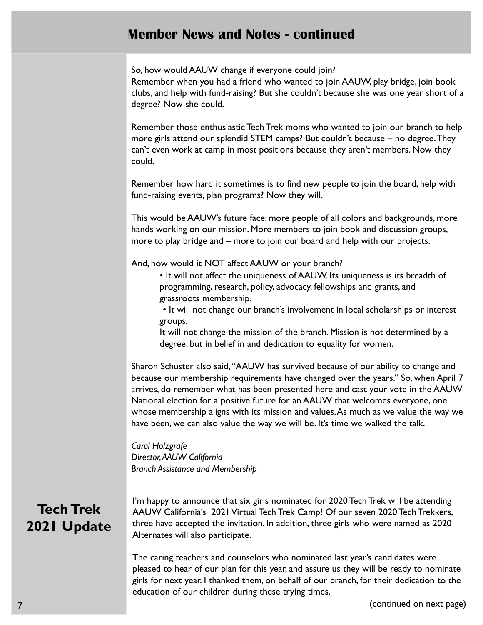## Member News and Notes - continued

So, how would AAUW change if everyone could join? Remember when you had a friend who wanted to join AAUW, play bridge, join book clubs, and help with fund-raising? But she couldn't because she was one year short of a degree? Now she could.

Remember those enthusiastic Tech Trek moms who wanted to join our branch to help more girls attend our splendid STEM camps? But couldn't because – no degree. They can't even work at camp in most positions because they aren't members. Now they could.

Remember how hard it sometimes is to find new people to join the board, help with fund-raising events, plan programs? Now they will.

This would be AAUW's future face: more people of all colors and backgrounds, more hands working on our mission. More members to join book and discussion groups, more to play bridge and – more to join our board and help with our projects.

And, how would it NOT affect AAUW or your branch?

- It will not affect the uniqueness of AAUW. Its uniqueness is its breadth of programming, research, policy, advocacy, fellowships and grants, and grassroots membership.
- It will not change our branch's involvement in local scholarships or interest groups.

It will not change the mission of the branch. Mission is not determined by a degree, but in belief in and dedication to equality for women.

Sharon Schuster also said,"AAUW has survived because of our ability to change and because our membership requirements have changed over the years." So, when April 7 arrives, do remember what has been presented here and cast your vote in the AAUW National election for a positive future for an AAUW that welcomes everyone, one whose membership aligns with its mission and values.As much as we value the way we have been, we can also value the way we will be. It's time we walked the talk.

Carol Holzgrafe Director, AAUW California Branch Assistance and Membership

## Tech Trek 2021 Update

I'm happy to announce that six girls nominated for 2020 Tech Trek will be attending AAUW California's 2021 Virtual Tech Trek Camp! Of our seven 2020 Tech Trekkers, three have accepted the invitation. In addition, three girls who were named as 2020 Alternates will also participate.

The caring teachers and counselors who nominated last year's candidates were pleased to hear of our plan for this year, and assure us they will be ready to nominate girls for next year. I thanked them, on behalf of our branch, for their dedication to the education of our children during these trying times.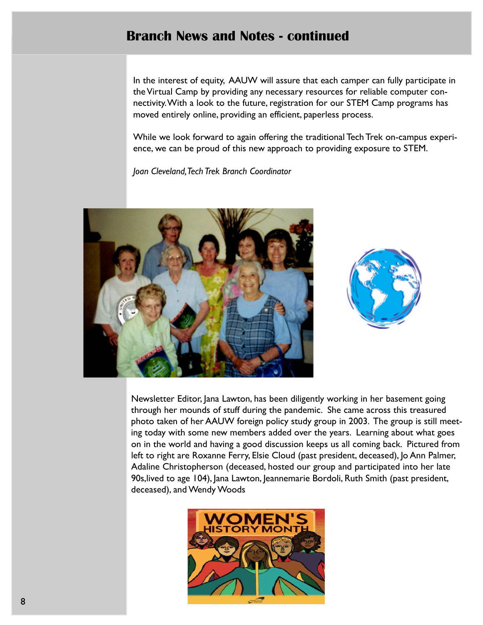## Branch News and Notes - continued

In the interest of equity, AAUW will assure that each camper can fully participate in the Virtual Camp by providing any necessary resources for reliable computer connectivity. With a look to the future, registration for our STEM Camp programs has moved entirely online, providing an efficient, paperless process.

While we look forward to again offering the traditional Tech Trek on-campus experience, we can be proud of this new approach to providing exposure to STEM.

Joan Cleveland, Tech Trek Branch Coordinator





Newsletter Editor, Jana Lawton, has been diligently working in her basement going through her mounds of stuff during the pandemic. She came across this treasured photo taken of her AAUW foreign policy study group in 2003. The group is still meeting today with some new members added over the years. Learning about what goes on in the world and having a good discussion keeps us all coming back. Pictured from left to right are Roxanne Ferry, Elsie Cloud (past president, deceased), Jo Ann Palmer, Adaline Christopherson (deceased, hosted our group and participated into her late 90s,lived to age 104), Jana Lawton, Jeannemarie Bordoli, Ruth Smith (past president, deceased), and Wendy Woods

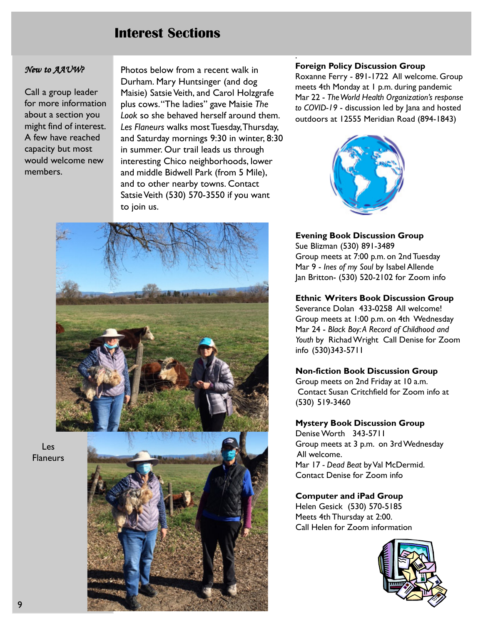## Interest Sections

#### New to AAUW?

Call a group leader for more information about a section you might find of interest. A few have reached capacity but most would welcome new members.

Photos below from a recent walk in Durham. Mary Huntsinger (and dog Maisie) Satsie Veith, and Carol Holzgrafe plus cows."The ladies" gave Maisie The Look so she behaved herself around them. Les Flaneurs walks most Tuesday, Thursday, and Saturday mornings 9:30 in winter, 8:30 in summer. Our trail leads us through interesting Chico neighborhoods, lower and middle Bidwell Park (from 5 Mile), and to other nearby towns. Contact Satsie Veith (530) 570-3550 if you want to join us.



Les Flaneurs



#### Foreign Policy Discussion Group

.

Roxanne Ferry - 891-1722 All welcome. Group meets 4th Monday at 1 p.m. during pandemic Mar 22 - The World Health Organization's response to COVID-19 - discussion led by Jana and hosted outdoors at 12555 Meridian Road (894-1843)



#### Evening Book Discussion Group

Sue Blizman (530) 891-3489 Group meets at 7:00 p.m. on 2nd Tuesday Mar 9 - Ines of my Soul by Isabel Allende Jan Britton- (530) 520-2102 for Zoom info

#### Ethnic Writers Book Discussion Group

Severance Dolan 433-0258 All welcome! Group meets at 1:00 p.m. on 4th Wednesday Mar 24 - Black Boy:A Record of Childhood and Youth by Richad Wright Call Denise for Zoom info (530)343-5711

#### Non-fiction Book Discussion Group

Group meets on 2nd Friday at 10 a.m. Contact Susan Critchfield for Zoom info at (530) 519-3460

#### Mystery Book Discussion Group

Denise Worth 343-5711 Group meets at 3 p.m. on 3rd Wednesday All welcome. Mar 17 - Dead Beat by Val McDermid. Contact Denise for Zoom info

#### Computer and iPad Group

Helen Gesick (530) 570-5185 Meets 4th Thursday at 2:00. Call Helen for Zoom information